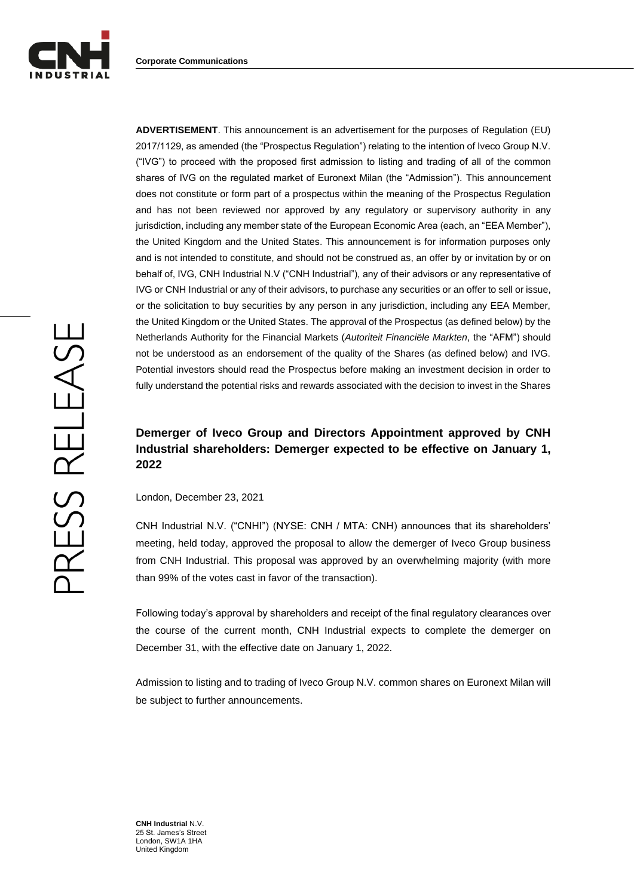

**ADVERTISEMENT**. This announcement is an advertisement for the purposes of Regulation (EU) 2017/1129, as amended (the "Prospectus Regulation") relating to the intention of Iveco Group N.V. ("IVG") to proceed with the proposed first admission to listing and trading of all of the common shares of IVG on the regulated market of Euronext Milan (the "Admission"). This announcement does not constitute or form part of a prospectus within the meaning of the Prospectus Regulation and has not been reviewed nor approved by any regulatory or supervisory authority in any jurisdiction, including any member state of the European Economic Area (each, an "EEA Member"), the United Kingdom and the United States. This announcement is for information purposes only and is not intended to constitute, and should not be construed as, an offer by or invitation by or on behalf of, IVG, CNH Industrial N.V ("CNH Industrial"), any of their advisors or any representative of IVG or CNH Industrial or any of their advisors, to purchase any securities or an offer to sell or issue, or the solicitation to buy securities by any person in any jurisdiction, including any EEA Member, the United Kingdom or the United States. The approval of the Prospectus (as defined below) by the Netherlands Authority for the Financial Markets (*Autoriteit Financiële Markten*, the "AFM") should not be understood as an endorsement of the quality of the Shares (as defined below) and IVG. Potential investors should read the Prospectus before making an investment decision in order to fully understand the potential risks and rewards associated with the decision to invest in the Shares

## **Demerger of Iveco Group and Directors Appointment approved by CNH Industrial shareholders: Demerger expected to be effective on January 1, 2022**

London, December 23, 2021

CNH Industrial N.V. ("CNHI") (NYSE: CNH / MTA: CNH) announces that its shareholders' meeting, held today, approved the proposal to allow the demerger of Iveco Group business from CNH Industrial. This proposal was approved by an overwhelming majority (with more than 99% of the votes cast in favor of the transaction).

Following today's approval by shareholders and receipt of the final regulatory clearances over the course of the current month, CNH Industrial expects to complete the demerger on December 31, with the effective date on January 1, 2022.

Admission to listing and to trading of Iveco Group N.V. common shares on Euronext Milan will be subject to further announcements.

**CNH Industrial** N.V. 25 St. James's Street London, SW1A 1HA United Kingdom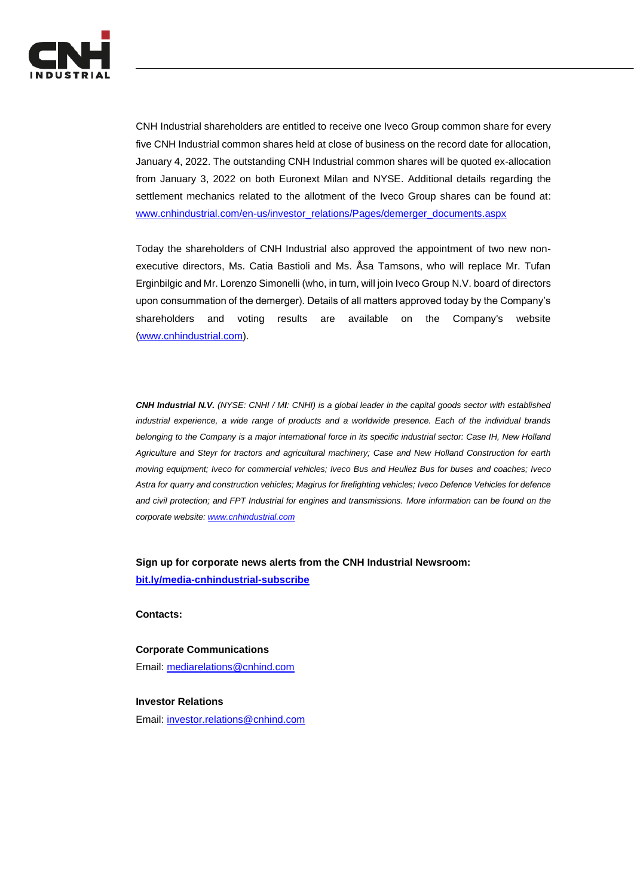

CNH Industrial shareholders are entitled to receive one Iveco Group common share for every five CNH Industrial common shares held at close of business on the record date for allocation, January 4, 2022. The outstanding CNH Industrial common shares will be quoted ex-allocation from January 3, 2022 on both Euronext Milan and NYSE. Additional details regarding the settlement mechanics related to the allotment of the Iveco Group shares can be found at: [www.cnhindustrial.com/en-us/investor\\_relations/Pages/demerger\\_documents.aspx](https://www.cnhindustrial.com/en-us/investor_relations/Pages/demerger_documents.aspx)

Today the shareholders of CNH Industrial also approved the appointment of two new nonexecutive directors, Ms. Catia Bastioli and Ms. Åsa Tamsons, who will replace Mr. Tufan Erginbilgic and Mr. Lorenzo Simonelli (who, in turn, will join Iveco Group N.V. board of directors upon consummation of the demerger). Details of all matters approved today by the Company's shareholders and voting results are available on the Company's website [\(www.cnhindustrial.com\)](http://www.cnhindustrial.com/).

*CNH Industrial N.V. (NYSE: CNHI / MI: CNHI) is a global leader in the capital goods sector with established industrial experience, a wide range of products and a worldwide presence. Each of the individual brands belonging to the Company is a major international force in its specific industrial sector: Case IH, New Holland Agriculture and Steyr for tractors and agricultural machinery; Case and New Holland Construction for earth moving equipment; Iveco for commercial vehicles; Iveco Bus and Heuliez Bus for buses and coaches; Iveco Astra for quarry and construction vehicles; Magirus for firefighting vehicles; Iveco Defence Vehicles for defence and civil protection; and FPT Industrial for engines and transmissions. More information can be found on the corporate website[: www.cnhindustrial.com](http://www.cnhindustrial.com/)*

**Sign up for corporate news alerts from the CNH Industrial Newsroom: [bit.ly/media-cnhindustrial-subscribe](http://bit.ly/media-cnhindustrial-subscribe)**

**Contacts:** 

**Corporate Communications**  Email[: mediarelations@cnhind.com](mailto:mediarelations@cnhind.com)

**Investor Relations**  Email[: investor.relations@cnhind.com](mailto:investor.relations@cnhind.com)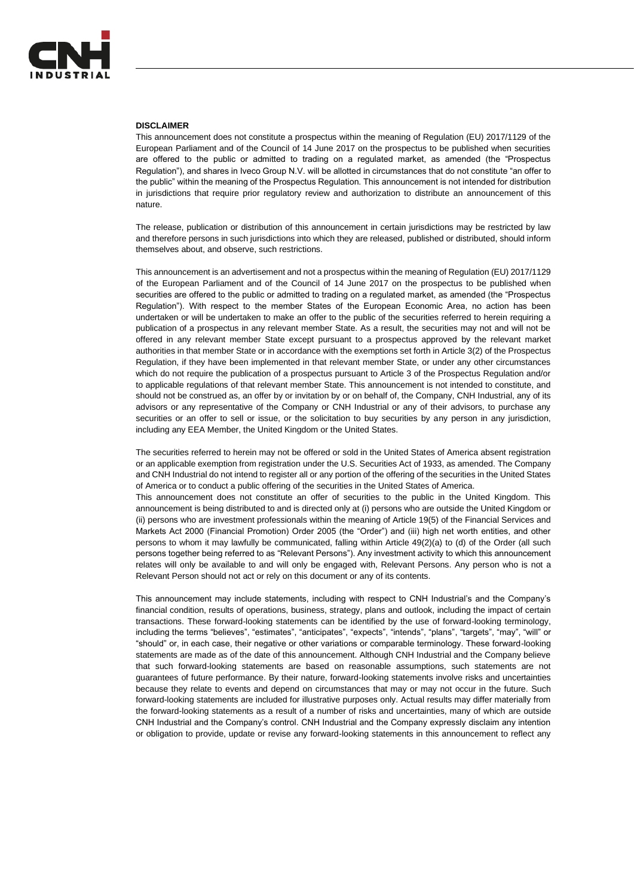

## **DISCLAIMER**

This announcement does not constitute a prospectus within the meaning of Regulation (EU) 2017/1129 of the European Parliament and of the Council of 14 June 2017 on the prospectus to be published when securities are offered to the public or admitted to trading on a regulated market, as amended (the "Prospectus Regulation"), and shares in Iveco Group N.V. will be allotted in circumstances that do not constitute "an offer to the public" within the meaning of the Prospectus Regulation. This announcement is not intended for distribution in jurisdictions that require prior regulatory review and authorization to distribute an announcement of this nature.

The release, publication or distribution of this announcement in certain jurisdictions may be restricted by law and therefore persons in such jurisdictions into which they are released, published or distributed, should inform themselves about, and observe, such restrictions.

This announcement is an advertisement and not a prospectus within the meaning of Regulation (EU) 2017/1129 of the European Parliament and of the Council of 14 June 2017 on the prospectus to be published when securities are offered to the public or admitted to trading on a regulated market, as amended (the "Prospectus Regulation"). With respect to the member States of the European Economic Area, no action has been undertaken or will be undertaken to make an offer to the public of the securities referred to herein requiring a publication of a prospectus in any relevant member State. As a result, the securities may not and will not be offered in any relevant member State except pursuant to a prospectus approved by the relevant market authorities in that member State or in accordance with the exemptions set forth in Article 3(2) of the Prospectus Regulation, if they have been implemented in that relevant member State, or under any other circumstances which do not require the publication of a prospectus pursuant to Article 3 of the Prospectus Regulation and/or to applicable regulations of that relevant member State. This announcement is not intended to constitute, and should not be construed as, an offer by or invitation by or on behalf of, the Company, CNH Industrial, any of its advisors or any representative of the Company or CNH Industrial or any of their advisors, to purchase any securities or an offer to sell or issue, or the solicitation to buy securities by any person in any jurisdiction, including any EEA Member, the United Kingdom or the United States.

The securities referred to herein may not be offered or sold in the United States of America absent registration or an applicable exemption from registration under the U.S. Securities Act of 1933, as amended. The Company and CNH Industrial do not intend to register all or any portion of the offering of the securities in the United States of America or to conduct a public offering of the securities in the United States of America.

This announcement does not constitute an offer of securities to the public in the United Kingdom. This announcement is being distributed to and is directed only at (i) persons who are outside the United Kingdom or (ii) persons who are investment professionals within the meaning of Article 19(5) of the Financial Services and Markets Act 2000 (Financial Promotion) Order 2005 (the "Order") and (iii) high net worth entities, and other persons to whom it may lawfully be communicated, falling within Article 49(2)(a) to (d) of the Order (all such persons together being referred to as "Relevant Persons"). Any investment activity to which this announcement relates will only be available to and will only be engaged with, Relevant Persons. Any person who is not a Relevant Person should not act or rely on this document or any of its contents.

This announcement may include statements, including with respect to CNH Industrial's and the Company's financial condition, results of operations, business, strategy, plans and outlook, including the impact of certain transactions. These forward-looking statements can be identified by the use of forward-looking terminology, including the terms "believes", "estimates", "anticipates", "expects", "intends", "plans", "targets", "may", "will" or "should" or, in each case, their negative or other variations or comparable terminology. These forward-looking statements are made as of the date of this announcement. Although CNH Industrial and the Company believe that such forward-looking statements are based on reasonable assumptions, such statements are not guarantees of future performance. By their nature, forward-looking statements involve risks and uncertainties because they relate to events and depend on circumstances that may or may not occur in the future. Such forward-looking statements are included for illustrative purposes only. Actual results may differ materially from the forward-looking statements as a result of a number of risks and uncertainties, many of which are outside CNH Industrial and the Company's control. CNH Industrial and the Company expressly disclaim any intention or obligation to provide, update or revise any forward-looking statements in this announcement to reflect any